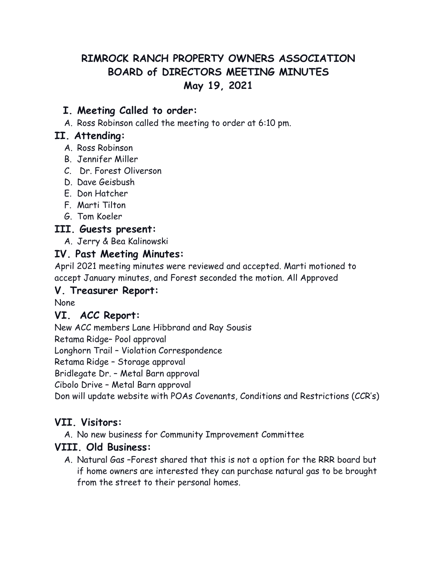# **RIMROCK RANCH PROPERTY OWNERS ASSOCIATION BOARD of DIRECTORS MEETING MINUTES May 19, 2021**

# **I. Meeting Called to order:**

A. Ross Robinson called the meeting to order at 6:10 pm.

### **II. Attending:**

- A. Ross Robinson
- B. Jennifer Miller
- C. Dr. Forest Oliverson
- D. Dave Geisbush
- E. Don Hatcher
- F. Marti Tilton
- G. Tom Koeler

### **III. Guests present:**

A. Jerry & Bea Kalinowski

### **IV. Past Meeting Minutes:**

April 2021 meeting minutes were reviewed and accepted. Marti motioned to accept January minutes, and Forest seconded the motion. All Approved

#### **V. Treasurer Report:**

None

### **VI. ACC Report:**

New ACC members Lane Hibbrand and Ray Sousis

Retama Ridge– Pool approval

Longhorn Trail – Violation Correspondence

Retama Ridge – Storage approval

Bridlegate Dr. – Metal Barn approval

Cibolo Drive – Metal Barn approval

Don will update website with POAs Covenants, Conditions and Restrictions (CCR's)

### **VII. Visitors:**

A. No new business for Community Improvement Committee

### **VIII. Old Business:**

A. Natural Gas –Forest shared that this is not a option for the RRR board but if home owners are interested they can purchase natural gas to be brought from the street to their personal homes.